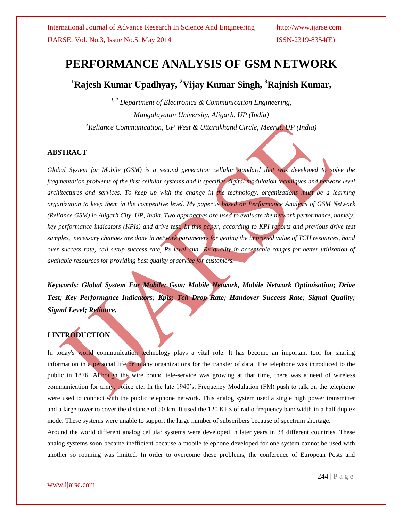# **PERFORMANCE ANALYSIS OF GSM NETWORK**

**<sup>1</sup>Rajesh Kumar Upadhyay, <sup>2</sup>Vijay Kumar Singh, <sup>3</sup>Rajnish Kumar,** 

*1, 2 Department of Electronics & Communication Engineering, Mangalayatan University, Aligarh, UP (India) <sup>3</sup>Reliance Communication, UP West & Uttarakhand Circle, Meerut, UP (India)*

## **ABSTRACT**

*Global System for Mobile (GSM) is a second generation cellular standard that was developed to solve the*  fragmentation problems of the first cellular systems and it specifies digital modulation techniques and network level *architectures and services. To keep up with the change in the technology, organizations must be a learning organization to keep them in the competitive level. My paper is based on Performance Analysis of GSM Network (Reliance GSM) in Aligarh City, UP, India. Two approaches are used to evaluate the network performance, namely: key performance indicators (KPIs) and drive test. In this paper, according to KPI reports and previous drive test samples, necessary changes are done in network parameters for getting the improved value of TCH resources, hand over success rate, call setup success rate, Rx level and Rx quality in acceptable ranges for better utilization of available resources for providing best quality of service for customers.*

*Keywords: Global System For Mobile; Gsm; Mobile Network, Mobile Network Optimisation; Drive Test; Key Performance Indicators; Kpis; Tch Drop Rate; Handover Success Rate; Signal Quality; Signal Level; Reliance.*

## **I INTRODUCTION**

In today's world communication technology plays a vital role. It has become an important tool for sharing information in a personal life or in any organizations for the transfer of data. The telephone was introduced to the public in 1876. Although the wire bound tele-service was growing at that time, there was a need of wireless communication for army, police etc. In the late 1940's, Frequency Modulation (FM) push to talk on the telephone were used to connect with the public telephone network. This analog system used a single high power transmitter and a large tower to cover the distance of 50 km. It used the 120 KHz of radio frequency bandwidth in a half duplex mode. These systems were unable to support the large number of subscribers because of spectrum shortage.

Around the world different analog cellular systems were developed in later years in 34 different countries. These analog systems soon became inefficient because a mobile telephone developed for one system cannot be used with another so roaming was limited. In order to overcome these problems, the conference of European Posts and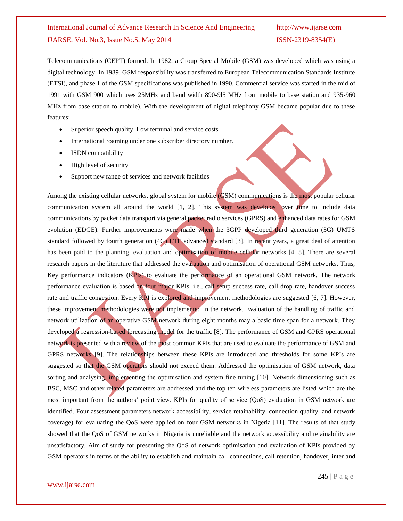Telecommunications (CEPT) formed. In 1982, a Group Special Mobile (GSM) was developed which was using a digital technology. In 1989, GSM responsibility was transferred to European Telecommunication Standards Institute (ETSI), and phase 1 of the GSM specifications was published in 1990. Commercial service was started in the mid of 1991 with GSM 900 which uses 25MHz and band width 890-9l5 MHz from mobile to base station and 935-960 MHz from base station to mobile). With the development of digital telephony GSM became popular due to these features:

- Superior speech quality Low terminal and service costs
- International roaming under one subscriber directory number.
- ISDN compatibility
- High level of security
- Support new range of services and network facilities

Among the existing cellular networks, global system for mobile (GSM) communications is the most popular cellular communication system all around the world [1, 2]. This system was developed over time to include data communications by packet data transport via general packet radio services (GPRS) and enhanced data rates for GSM evolution (EDGE). Further improvements were made when the 3GPP developed third generation (3G) UMTS standard followed by fourth generation (4G) LTE advanced standard [3]. In recent years, a great deal of attention has been paid to the planning, evaluation and optimisation of mobile cellular networks [4, 5]. There are several research papers in the literature that addressed the evaluation and optimisation of operational GSM networks. Thus, Key performance indicators (KPIs) to evaluate the performance of an operational GSM network. The network performance evaluation is based on four major KPIs, i.e., call setup success rate, call drop rate, handover success rate and traffic congestion. Every KPI is explored and improvement methodologies are suggested [6, 7]. However, these improvement methodologies were not implemented in the network. Evaluation of the handling of traffic and network utilization of an operative GSM network during eight months may a basic time span for a network. They developed a regression-based forecasting model for the traffic [8]. The performance of GSM and GPRS operational network is presented with a review of the most common KPIs that are used to evaluate the performance of GSM and GPRS networks [9]. The relationships between these KPIs are introduced and thresholds for some KPIs are suggested so that the GSM operators should not exceed them. Addressed the optimisation of GSM network, data sorting and analysing, implementing the optimisation and system fine tuning [10]. Network dimensioning such as BSC, MSC and other related parameters are addressed and the top ten wireless parameters are listed which are the most important from the authors' point view. KPIs for quality of service (QoS) evaluation in GSM network are identified. Four assessment parameters network accessibility, service retainability, connection quality, and network coverage) for evaluating the QoS were applied on four GSM networks in Nigeria [11]. The results of that study showed that the QoS of GSM networks in Nigeria is unreliable and the network accessibility and retainability are unsatisfactory. Aim of study for presenting the QoS of network optimisation and evaluation of KPIs provided by GSM operators in terms of the ability to establish and maintain call connections, call retention, handover, inter and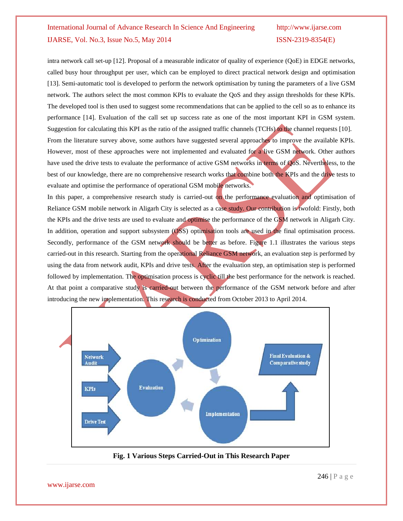intra network call set-up [12]. Proposal of a measurable indicator of quality of experience (QoE) in EDGE networks, called busy hour throughput per user, which can be employed to direct practical network design and optimisation [13]. Semi-automatic tool is developed to perform the network optimisation by tuning the parameters of a live GSM network. The authors select the most common KPIs to evaluate the QoS and they assign thresholds for these KPIs. The developed tool is then used to suggest some recommendations that can be applied to the cell so as to enhance its performance [14]. Evaluation of the call set up success rate as one of the most important KPI in GSM system. Suggestion for calculating this KPI as the ratio of the assigned traffic channels (TCHs) to the channel requests [10]. From the literature survey above, some authors have suggested several approaches to improve the available KPIs. However, most of these approaches were not implemented and evaluated for a live GSM network. Other authors

have used the drive tests to evaluate the performance of active GSM networks in terms of QoS. Nevertheless, to the best of our knowledge, there are no comprehensive research works that combine both the KPIs and the drive tests to evaluate and optimise the performance of operational GSM mobile networks.

In this paper, a comprehensive research study is carried-out on the performance evaluation and optimisation of Reliance GSM mobile network in Aligarh City is selected as a case study. Our contribution is twofold: Firstly, both the KPIs and the drive tests are used to evaluate and optimise the performance of the GSM network in Aligarh City. In addition, operation and support subsystem (OSS) optimisation tools are used in the final optimisation process. Secondly, performance of the GSM network should be better as before. Figure 1.1 illustrates the various steps carried-out in this research. Starting from the operational Reliance GSM network, an evaluation step is performed by using the data from network audit, KPIs and drive tests. After the evaluation step, an optimisation step is performed followed by implementation. The optimisation process is cyclic till the best performance for the network is reached. At that point a comparative study is carried-out between the performance of the GSM network before and after introducing the new implementation. This research is conducted from October 2013 to April 2014.



**Fig. 1 Various Steps Carried-Out in This Research Paper**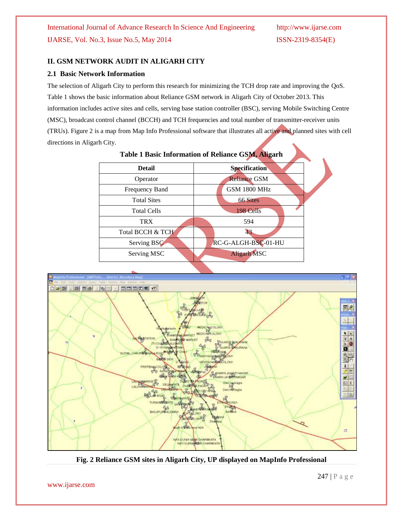## **II. GSM NETWORK AUDIT IN ALIGARH CITY**

## **2.1 Basic Network Information**

The selection of Aligarh City to perform this research for minimizing the TCH drop rate and improving the QoS. Table 1 shows the basic information about Reliance GSM network in Aligarh City of October 2013. This information includes active sites and cells, serving base station controller (BSC), serving Mobile Switching Centre (MSC), broadcast control channel (BCCH) and TCH frequencies and total number of transmitter-receiver units (TRUs). Figure 2 is a map from Map Info Professional software that illustrates all active and planned sites with cell directions in Aligarh City.

**Table 1 Basic Information of Reliance GSM, Aligarh**

| Table 1 Dasic Imormation of Renance GSMI, Angarii |                      |  |  |  |
|---------------------------------------------------|----------------------|--|--|--|
| <b>Detail</b>                                     | <b>Specification</b> |  |  |  |
| Operator                                          | <b>Reliance GSM</b>  |  |  |  |
| Frequency Band                                    | <b>GSM 1800 MHz</b>  |  |  |  |
| <b>Total Sites</b>                                | 66 Sites             |  |  |  |
| <b>Total Cells</b>                                | 198 Cells            |  |  |  |
| <b>TRX</b>                                        | 594                  |  |  |  |
| Total BCCH & TCH                                  | 43                   |  |  |  |
| Serving BSC                                       | RC-G-ALGH-BSC-01-HU  |  |  |  |
| Serving MSC                                       | <b>Aligarh MSC</b>   |  |  |  |



**Fig. 2 Reliance GSM sites in Aligarh City, UP displayed on MapInfo Professional**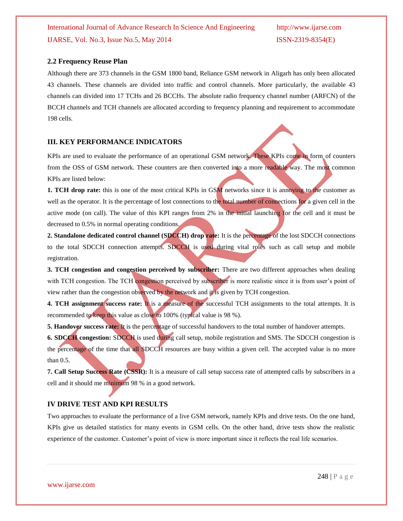### **2.2 Frequency Reuse Plan**

Although there are 373 channels in the GSM 1800 band, Reliance GSM network in Aligarh has only been allocated 43 channels. These channels are divided into traffic and control channels. More particularly, the available 43 channels can divided into 17 TCHs and 26 BCCHs. The absolute radio frequency channel number (ARFCN) of the BCCH channels and TCH channels are allocated according to frequency planning and requirement to accommodate 198 cells.

### **III. KEY PERFORMANCE INDICATORS**

KPIs are used to evaluate the performance of an operational GSM network. These KPIs come in form of counters from the OSS of GSM network. These counters are then converted into a more readable way. The most common KPIs are listed below:

**1. TCH drop rate:** this is one of the most critical KPIs in GSM networks since it is annoying to the customer as well as the operator. It is the percentage of lost connections to the total number of connections for a given cell in the active mode (on call). The value of this KPI ranges from 2% in the initial launching for the cell and it must be decreased to 0.5% in normal operating conditions.

**2. Standalone dedicated control channel (SDCCH) drop rate:** It is the percentage of the lost SDCCH connections to the total SDCCH connection attempts. SDCCH is used during vital roles such as call setup and mobile registration.

**3. TCH congestion and congestion perceived by subscriber:** There are two different approaches when dealing with TCH congestion. The TCH congestion perceived by subscriber is more realistic since it is from user's point of view rather than the congestion observed by the network and it is given by TCH congestion.

**4. TCH** assignment success rate: It is a measure of the successful TCH assignments to the total attempts. It is recommended to keep this value as close to 100% (typical value is 98 %).

**5. Handover success rate:** It is the percentage of successful handovers to the total number of handover attempts.

**6. SDCCH congestion:** SDCCH is used during call setup, mobile registration and SMS. The SDCCH congestion is the percentage of the time that all SDCCH resources are busy within a given cell. The accepted value is no more than 0.5.

**7. Call Setup Success Rate (CSSR):** It is a measure of call setup success rate of attempted calls by subscribers in a cell and it should me minimum 98 % in a good network.

### **IV DRIVE TEST AND KPI RESULTS**

Two approaches to evaluate the performance of a live GSM network, namely KPIs and drive tests. On the one hand, KPIs give us detailed statistics for many events in GSM cells. On the other hand, drive tests show the realistic experience of the customer. Customer's point of view is more important since it reflects the real life scenarios.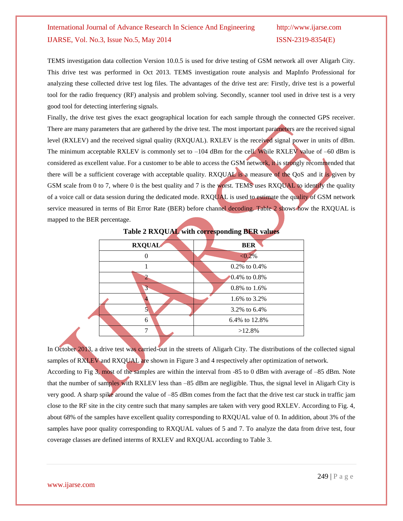TEMS investigation data collection Version 10.0.5 is used for drive testing of GSM network all over Aligarh City. This drive test was performed in Oct 2013. TEMS investigation route analysis and MapInfo Professional for analyzing these collected drive test log files. The advantages of the drive test are: Firstly, drive test is a powerful tool for the radio frequency (RF) analysis and problem solving. Secondly, scanner tool used in drive test is a very good tool for detecting interfering signals.

Finally, the drive test gives the exact geographical location for each sample through the connected GPS receiver. There are many parameters that are gathered by the drive test. The most important parameters are the received signal level (RXLEV) and the received signal quality (RXQUAL). RXLEV is the received signal power in units of dBm. The minimum acceptable RXLEV is commonly set to  $-104$  dBm for the cell. While RXLEV value of  $-60$  dBm is considered as excellent value. For a customer to be able to access the GSM network, it is strongly recommended that there will be a sufficient coverage with acceptable quality. RXQUAL is a measure of the QoS and it is given by GSM scale from 0 to 7, where 0 is the best quality and 7 is the worst. TEMS uses RXQUAL to identify the quality of a voice call or data session during the dedicated mode. RXQUAL is used to estimate the quality of GSM network service measured in terms of Bit Error Rate (BER) before channel decoding. Table 2 shows how the RXQUAL is mapped to the BER percentage.

|               | -<br>ີ             |
|---------------|--------------------|
| <b>RXQUAL</b> | <b>BER</b>         |
|               | $< 0.2\%$          |
|               | $0.2\%$ to $0.4\%$ |
|               | $0.4\%$ to 0.8%    |
| 3             | 0.8% to 1.6%       |
|               | 1.6% to 3.2%       |
|               | 3.2% to 6.4%       |
| 6             | 6.4% to 12.8%      |
|               | $>12.8\%$          |

**Table 2 RXQUAL with corresponding BER values**

In October 2013, a drive test was carried-out in the streets of Aligarh City. The distributions of the collected signal samples of RXLEV and RXQUAL are shown in Figure 3 and 4 respectively after optimization of network. According to Fig 3, most of the samples are within the interval from -85 to 0 dBm with average of –85 dBm. Note that the number of samples with RXLEV less than -85 dBm are negligible. Thus, the signal level in Aligarh City is very good. A sharp spike around the value of –85 dBm comes from the fact that the drive test car stuck in traffic jam close to the RF site in the city centre such that many samples are taken with very good RXLEV. According to Fig. 4, about 68% of the samples have excellent quality corresponding to RXQUAL value of 0. In addition, about 3% of the samples have poor quality corresponding to RXQUAL values of 5 and 7. To analyze the data from drive test, four coverage classes are defined interms of RXLEV and RXQUAL according to Table 3.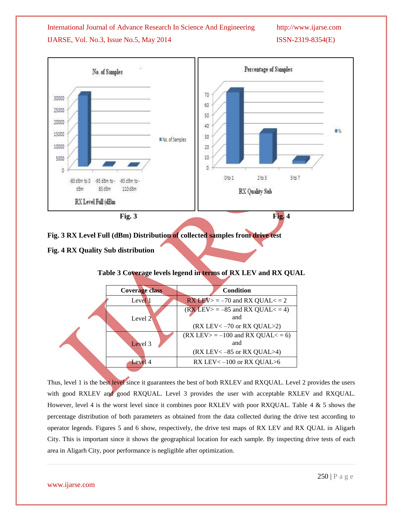

**Fig. 3 RX Level Full (dBm) Distribution of collected samples from drive test** 

## **Fig. 4 RX Quality Sub distribution**

## **Table 3 Coverage levels legend in terms of RX LEV and RX QUAL**

| <b>Coverage class</b> | <b>Condition</b>                                    |
|-----------------------|-----------------------------------------------------|
| Level 1               | $\overline{\text{RX }}$ LEV> = -70 and RX QUAL< = 2 |
|                       | $(RXLEV> = -85$ and RX QUAL $<-4$ )                 |
| Level 2               | and                                                 |
|                       | $(RX$ LEV $<-70$ or RX QUAL $>2$ )                  |
|                       | $(RX$ LEV $> = -100$ and RX QUAL $< = 6$ )          |
| Level 3               | and                                                 |
|                       | $(RX$ LEV $<-85$ or RX OUAL $>4$ )                  |
| Level 4               | RX LEV $<-100$ or RX QUAL $>6$                      |
|                       |                                                     |

Thus, level 1 is the best level since it guarantees the best of both RXLEV and RXQUAL. Level 2 provides the users with good RXLEV and good RXQUAL. Level 3 provides the user with acceptable RXLEV and RXQUAL. However, level 4 is the worst level since it combines poor RXLEV with poor RXQUAL. Table 4 & 5 shows the percentage distribution of both parameters as obtained from the data collected during the drive test according to operator legends. Figures 5 and 6 show, respectively, the drive test maps of RX LEV and RX QUAL in Aligarh City. This is important since it shows the geographical location for each sample. By inspecting drive tests of each area in Aligarh City, poor performance is negligible after optimization.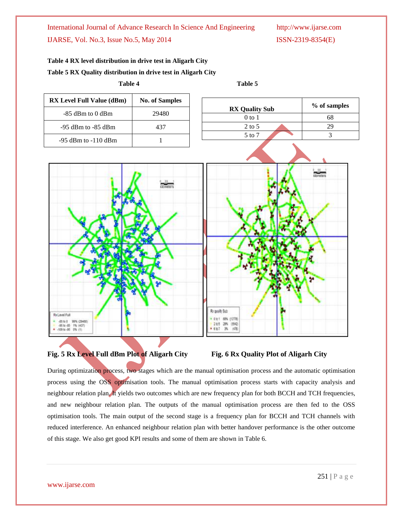# **Table 4 RX level distribution in drive test in Aligarh City Table 5 RX Quality distribution in drive test in Aligarh City**







During optimization process, two stages which are the manual optimisation process and the automatic optimisation process using the OSS optimisation tools. The manual optimisation process starts with capacity analysis and neighbour relation plan. It yields two outcomes which are new frequency plan for both BCCH and TCH frequencies, and new neighbour relation plan. The outputs of the manual optimisation process are then fed to the OSS optimisation tools. The main output of the second stage is a frequency plan for BCCH and TCH channels with reduced interference. An enhanced neighbour relation plan with better handover performance is the other outcome of this stage. We also get good KPI results and some of them are shown in Table 6.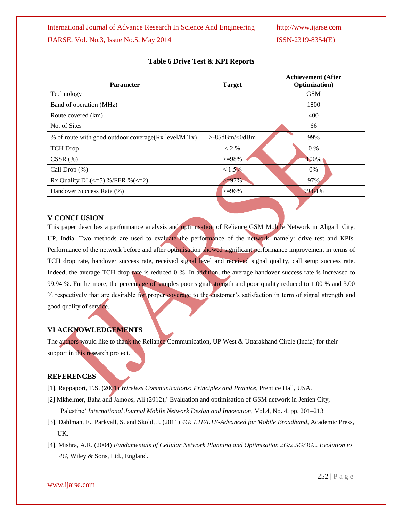| <b>Target</b>       | <b>Achievement</b> (After<br>Optimization) |
|---------------------|--------------------------------------------|
|                     | <b>GSM</b>                                 |
|                     | 1800                                       |
|                     | 400                                        |
|                     | 66                                         |
| $>85d$ Bm/ $<$ 0dBm | 99%                                        |
| $<$ 2 %             | $0\%$                                      |
| $>=98\%$            | 100%                                       |
| $\leq 1.5\%$        | $0\%$                                      |
| $>=97\%$            | 97%                                        |
| $> = 96\%$          | 99.84%                                     |
|                     |                                            |

## **Table 6 Drive Test & KPI Reports**

## **V CONCLUSION**

This paper describes a performance analysis and optimisation of Reliance GSM Mobile Network in Aligarh City, UP, India. Two methods are used to evaluate the performance of the network, namely: drive test and KPIs. Performance of the network before and after optimisation showed significant performance improvement in terms of TCH drop rate, handover success rate, received signal level and received signal quality, call setup success rate. Indeed, the average TCH drop rate is reduced 0 %. In addition, the average handover success rate is increased to 99.94 %. Furthermore, the percentage of samples poor signal strength and poor quality reduced to 1.00 % and 3.00 % respectively that are desirable for proper coverage to the customer's satisfaction in term of signal strength and good quality of service.

## **VI ACKNOWLEDGEMENTS**

The authors would like to thank the Reliance Communication, UP West & Uttarakhand Circle (India) for their support in this research project.

### **REFERENCES**

- [1]. Rappaport, T.S. (2001) *Wireless Communications: Principles and Practice*, Prentice Hall, USA.
- [2] Mkheimer, Baha and Jamoos, Ali (2012),' Evaluation and optimisation of GSM network in Jenien City, Palestine' *International Journal Mobile Network Design and Innovation,* Vol.4, No. 4, pp. 201–213
- [3]. Dahlman, E., Parkvall, S. and Skold, J. (2011) *4G: LTE/LTE-Advanced for Mobile Broadband*, Academic Press, UK.
- [4]. Mishra, A.R. (2004) *Fundamentals of Cellular Network Planning and Optimization 2G/2.5G/3G... Evolution to 4G*, Wiley & Sons, Ltd., England.